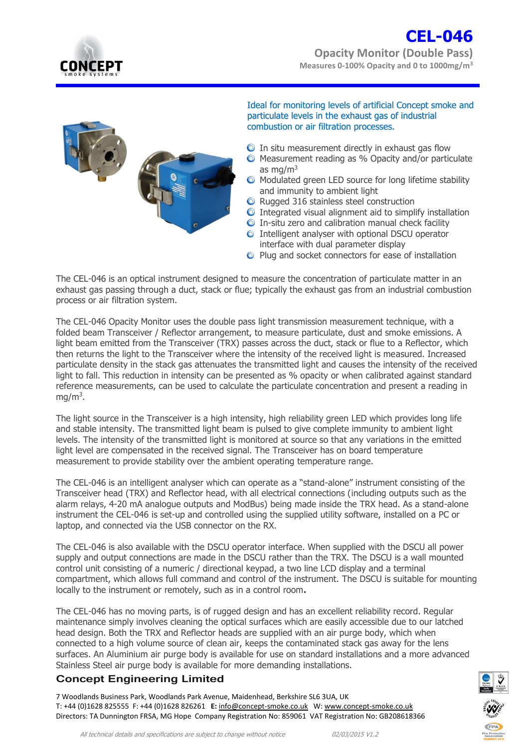

## **CEL-046 Opacity Monitor (Double Pass) Measures 0-100% Opacity and 0 to 1000mg/m<sup>3</sup>**



Ideal for monitoring levels of artificial Concept smoke and particulate levels in the exhaust gas of industrial combustion or air filtration processes.

- $\bullet$  In situ measurement directly in exhaust gas flow
- **O** Measurement reading as % Opacity and/or particulate as mg/ $m<sup>3</sup>$
- $\bullet$  Modulated green LED source for long lifetime stability and immunity to ambient light
- **O** Rugged 316 stainless steel construction
- $\odot$  Integrated visual alignment aid to simplify installation
- $\odot$  In-situ zero and calibration manual check facility
- **O** Intelligent analyser with optional DSCU operator interface with dual parameter display
- **O** Plug and socket connectors for ease of installation

The CEL-046 is an optical instrument designed to measure the concentration of particulate matter in an exhaust gas passing through a duct, stack or flue; typically the exhaust gas from an industrial combustion process or air filtration system.

The CEL-046 Opacity Monitor uses the double pass light transmission measurement technique, with a folded beam Transceiver / Reflector arrangement, to measure particulate, dust and smoke emissions. A light beam emitted from the Transceiver (TRX) passes across the duct, stack or flue to a Reflector, which then returns the light to the Transceiver where the intensity of the received light is measured. Increased particulate density in the stack gas attenuates the transmitted light and causes the intensity of the received light to fall. This reduction in intensity can be presented as % opacity or when calibrated against standard reference measurements, can be used to calculate the particulate concentration and present a reading in  $mg/m<sup>3</sup>$ .

The light source in the Transceiver is a high intensity, high reliability green LED which provides long life and stable intensity. The transmitted light beam is pulsed to give complete immunity to ambient light levels. The intensity of the transmitted light is monitored at source so that any variations in the emitted light level are compensated in the received signal. The Transceiver has on board temperature measurement to provide stability over the ambient operating temperature range.

The CEL-046 is an intelligent analyser which can operate as a "stand-alone" instrument consisting of the Transceiver head (TRX) and Reflector head, with all electrical connections (including outputs such as the alarm relays, 4-20 mA analogue outputs and ModBus) being made inside the TRX head. As a stand-alone instrument the CEL-046 is set-up and controlled using the supplied utility software, installed on a PC or laptop, and connected via the USB connector on the RX.

The CEL-046 is also available with the DSCU operator interface. When supplied with the DSCU all power supply and output connections are made in the DSCU rather than the TRX. The DSCU is a wall mounted control unit consisting of a numeric / directional keypad, a two line LCD display and a terminal compartment, which allows full command and control of the instrument. The DSCU is suitable for mounting locally to the instrument or remotely, such as in a control room**.** 

The CEL-046 has no moving parts, is of rugged design and has an excellent reliability record. Regular maintenance simply involves cleaning the optical surfaces which are easily accessible due to our latched head design. Both the TRX and Reflector heads are supplied with an air purge body, which when connected to a high volume source of clean air, keeps the contaminated stack gas away for the lens surfaces. An Aluminium air purge body is available for use on standard installations and a more advanced Stainless Steel air purge body is available for more demanding installations.

### **Concept Engineering Limited**

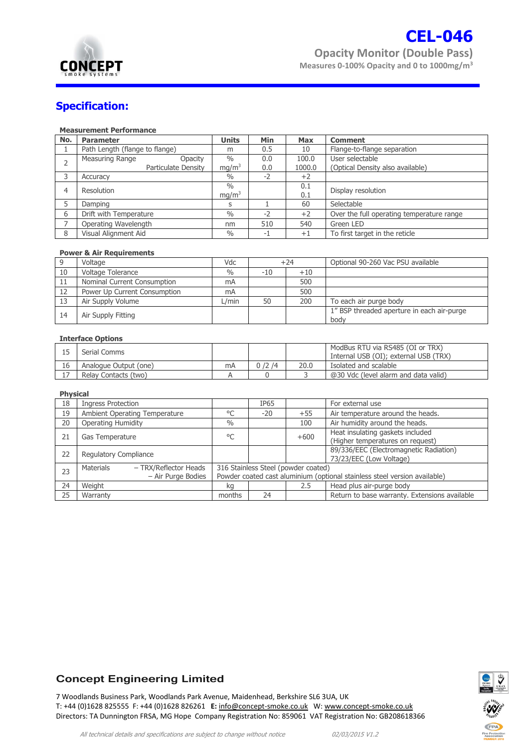

## **Specification:**

#### **Measurement Performance**

| No. | <b>Parameter</b>                  | <b>Units</b>      | Min  | <b>Max</b> | <b>Comment</b>                            |
|-----|-----------------------------------|-------------------|------|------------|-------------------------------------------|
|     | Path Length (flange to flange)    | m                 | 0.5  | 10         | Flange-to-flange separation               |
|     | Measuring Range<br><b>Opacity</b> | $\frac{0}{0}$     | 0.0  | 100.0      | User selectable                           |
|     | Particulate Density               | mg/m <sup>3</sup> | 0.0  | 1000.0     | (Optical Density also available)          |
| 3   | Accuracy                          | $\frac{0}{0}$     | $-2$ | $+2$       |                                           |
| 4   | Resolution                        | $\%$              |      | 0.1        | Display resolution                        |
|     |                                   | mg/m <sup>3</sup> |      | 0.1        |                                           |
|     | Damping                           | S                 |      | 60         | Selectable                                |
| 6   | Drift with Temperature            | $\frac{0}{0}$     | $-2$ | $+2$       | Over the full operating temperature range |
|     | Operating Wavelength              | nm                | 510  | 540        | Green LED                                 |
| 8   | Visual Alignment Aid              | $\%$              | -1   | $+1$       | To first target in the reticle            |

#### **Power & Air Requirements**

|     | Voltage                      | Vdc              |       | $+24$ | Optional 90-260 Vac PSU available                  |
|-----|------------------------------|------------------|-------|-------|----------------------------------------------------|
| 10  | Voltage Tolerance            | $\frac{0}{0}$    | $-10$ | $+10$ |                                                    |
| 11  | Nominal Current Consumption  | mA               |       | 500   |                                                    |
| 12  | Power Up Current Consumption | mA               |       | 500   |                                                    |
| -13 | Air Supply Volume            | $\mathsf{L/min}$ | 50    | 200   | To each air purge body                             |
| 14  | Air Supply Fitting           |                  |       |       | 1" BSP threaded aperture in each air-purge<br>body |

#### **Interface Options**

|    | Serial Comms          |    |       |      | ModBus RTU via RS485 (OI or TRX)<br>Internal USB (OI); external USB (TRX) |
|----|-----------------------|----|-------|------|---------------------------------------------------------------------------|
| 16 | Analogue Output (one) | mA | 0/2/4 | 20.0 | Isolated and scalable                                                     |
|    | Relay Contacts (two)  |    |       |      | @30 Vdc (level alarm and data valid)                                      |

#### **Physical**

| . ,                                |                                                                           |             |        |                                               |  |
|------------------------------------|---------------------------------------------------------------------------|-------------|--------|-----------------------------------------------|--|
| Ingress Protection                 |                                                                           | <b>IP65</b> |        | For external use                              |  |
| Ambient Operating Temperature      | °C                                                                        | $-20$       | $+55$  | Air temperature around the heads.             |  |
| <b>Operating Humidity</b>          | $\frac{0}{0}$                                                             |             | 100    | Air humidity around the heads.                |  |
| Gas Temperature                    | °C                                                                        |             | $+600$ | Heat insulating gaskets included              |  |
|                                    |                                                                           |             |        | (Higher temperatures on request)              |  |
| Regulatory Compliance              |                                                                           |             |        | 89/336/EEC (Electromagnetic Radiation)        |  |
|                                    |                                                                           |             |        | 73/23/EEC (Low Voltage)                       |  |
| Materials<br>- TRX/Reflector Heads | 316 Stainless Steel (powder coated)                                       |             |        |                                               |  |
| - Air Purge Bodies                 | Powder coated cast aluminium (optional stainless steel version available) |             |        |                                               |  |
| Weight                             | kg                                                                        |             | 2.5    | Head plus air-purge body                      |  |
| Warranty                           | months                                                                    | 24          |        | Return to base warranty. Extensions available |  |
|                                    |                                                                           |             |        |                                               |  |

#### **Concept Engineering Limited**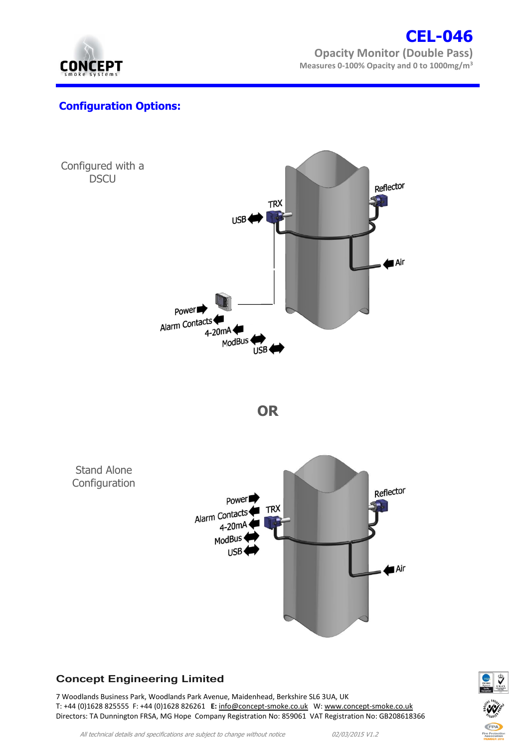

# **CEL-046 Opacity Monitor (Double Pass) Measures 0-100% Opacity and 0 to 1000mg/m<sup>3</sup>**

## **Configuration Options:**



## **Concept Engineering Limited**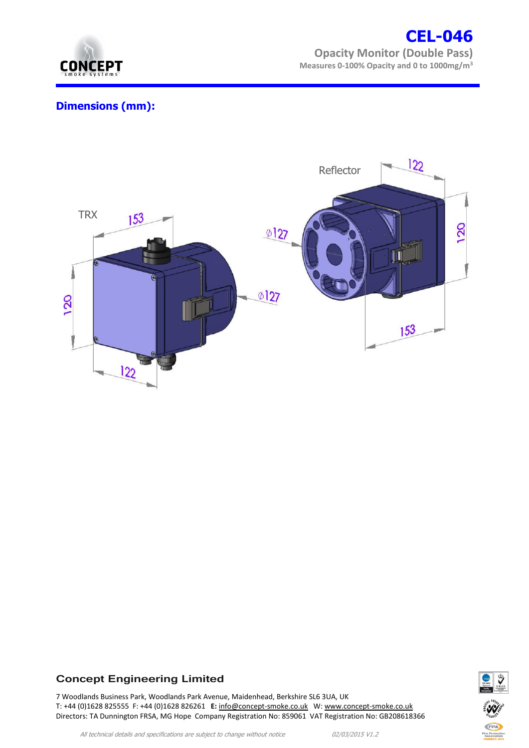

# **CEL-046 Opacity Monitor (Double Pass) Measures 0-100% Opacity and 0 to 1000mg/m<sup>3</sup>**

# **Dimensions (mm):**



## **Concept Engineering Limited**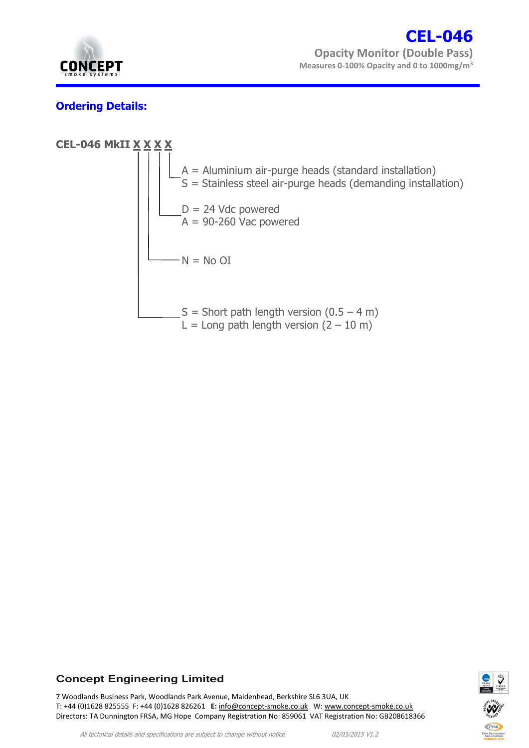

# **Ordering Details:**





### **Concept Engineering Limited**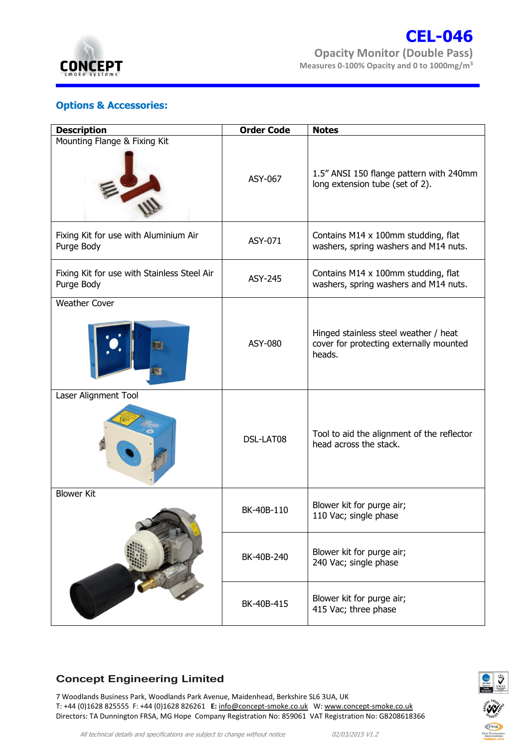

## **Options & Accessories:**

| <b>Description</b>                                        | <b>Order Code</b> | <b>Notes</b>                                                                               |
|-----------------------------------------------------------|-------------------|--------------------------------------------------------------------------------------------|
| Mounting Flange & Fixing Kit                              | ASY-067           | 1.5" ANSI 150 flange pattern with 240mm<br>long extension tube (set of 2).                 |
| Fixing Kit for use with Aluminium Air<br>Purge Body       | ASY-071           | Contains M14 x 100mm studding, flat<br>washers, spring washers and M14 nuts.               |
| Fixing Kit for use with Stainless Steel Air<br>Purge Body | ASY-245           | Contains M14 x 100mm studding, flat<br>washers, spring washers and M14 nuts.               |
| <b>Weather Cover</b><br>$\blacksquare$<br>訕               | <b>ASY-080</b>    | Hinged stainless steel weather / heat<br>cover for protecting externally mounted<br>heads. |
| Laser Alignment Tool                                      | DSL-LAT08         | Tool to aid the alignment of the reflector<br>head across the stack.                       |
| <b>Blower Kit</b>                                         | BK-40B-110        | Blower kit for purge air;<br>110 Vac; single phase                                         |
|                                                           | BK-40B-240        | Blower kit for purge air;<br>240 Vac; single phase                                         |
|                                                           | BK-40B-415        | Blower kit for purge air;<br>415 Vac; three phase                                          |

## **Concept Engineering Limited**